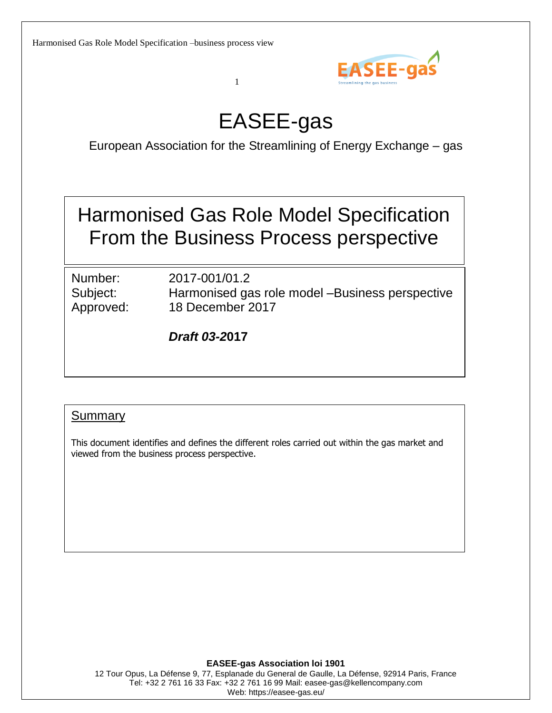

# EASEE-gas

1

European Association for the Streamlining of Energy Exchange – gas

Harmonised Gas Role Model Specification From the Business Process perspective

Number: 2017-001/01.2

Subject: Harmonised gas role model –Business perspective Approved: 18 December 2017

*Draft 03-2***017**

### **Summary**

This document identifies and defines the different roles carried out within the gas market and viewed from the business process perspective.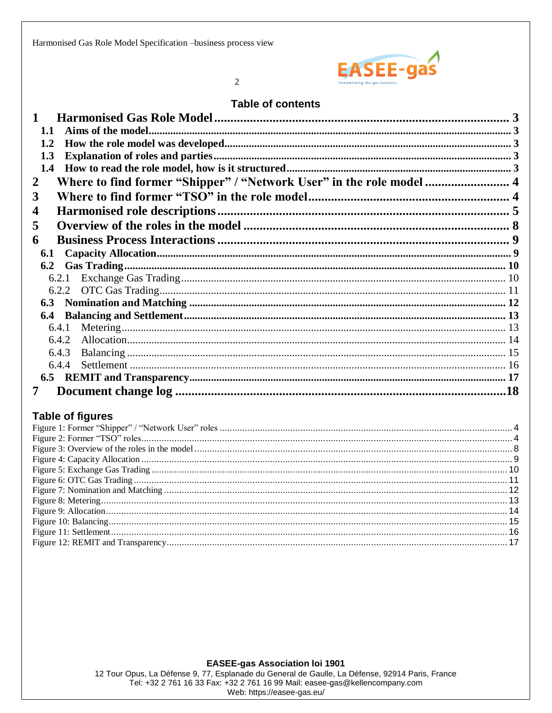

 $\overline{2}$ 

#### **Table of contents**

| 1.1                                                                       |  |
|---------------------------------------------------------------------------|--|
| 1.2                                                                       |  |
| 1.3                                                                       |  |
| 1.4                                                                       |  |
| Where to find former "Shipper" / "Network User" in the role model  4<br>2 |  |
| 3                                                                         |  |
| 4                                                                         |  |
| 5                                                                         |  |
| 6                                                                         |  |
| 6.1                                                                       |  |
| 6.2                                                                       |  |
|                                                                           |  |
|                                                                           |  |
|                                                                           |  |
| 6.4                                                                       |  |
| 6.4.1                                                                     |  |
| 6.4.2                                                                     |  |
| 6.4.3                                                                     |  |
| 6.4.4                                                                     |  |
|                                                                           |  |
|                                                                           |  |

### **Table of figures**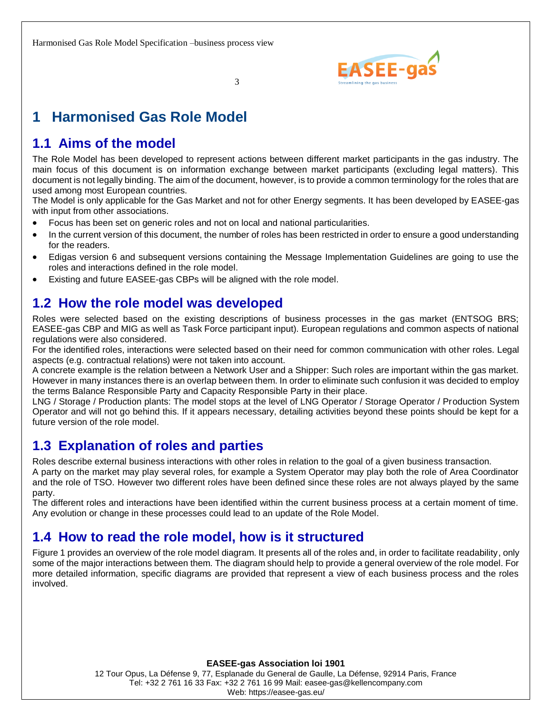

# <span id="page-2-0"></span>**1 Harmonised Gas Role Model**

### <span id="page-2-1"></span>**1.1 Aims of the model**

The Role Model has been developed to represent actions between different market participants in the gas industry. The main focus of this document is on information exchange between market participants (excluding legal matters). This document is not legally binding. The aim of the document, however, is to provide a common terminology for the roles that are used among most European countries.

The Model is only applicable for the Gas Market and not for other Energy segments. It has been developed by EASEE-gas with input from other associations.

- Focus has been set on generic roles and not on local and national particularities.
- In the current version of this document, the number of roles has been restricted in order to ensure a good understanding for the readers.
- Edigas version 6 and subsequent versions containing the Message Implementation Guidelines are going to use the roles and interactions defined in the role model.
- <span id="page-2-2"></span>Existing and future EASEE-gas CBPs will be aligned with the role model.

### **1.2 How the role model was developed**

Roles were selected based on the existing descriptions of business processes in the gas market (ENTSOG BRS; EASEE-gas CBP and MIG as well as Task Force participant input). European regulations and common aspects of national regulations were also considered.

For the identified roles, interactions were selected based on their need for common communication with other roles. Legal aspects (e.g. contractual relations) were not taken into account.

A concrete example is the relation between a Network User and a Shipper: Such roles are important within the gas market. However in many instances there is an overlap between them. In order to eliminate such confusion it was decided to employ the terms Balance Responsible Party and Capacity Responsible Party in their place.

LNG / Storage / Production plants: The model stops at the level of LNG Operator / Storage Operator / Production System Operator and will not go behind this. If it appears necessary, detailing activities beyond these points should be kept for a future version of the role model.

### <span id="page-2-3"></span>**1.3 Explanation of roles and parties**

Roles describe external business interactions with other roles in relation to the goal of a given business transaction.

A party on the market may play several roles, for example a System Operator may play both the role of Area Coordinator and the role of TSO. However two different roles have been defined since these roles are not always played by the same party.

The different roles and interactions have been identified within the current business process at a certain moment of time. Any evolution or change in these processes could lead to an update of the Role Model.

### <span id="page-2-4"></span>**1.4 How to read the role model, how is it structured**

Figure 1 provides an overview of the role model diagram. It presents all of the roles and, in order to facilitate readability, only some of the major interactions between them. The diagram should help to provide a general overview of the role model. For more detailed information, specific diagrams are provided that represent a view of each business process and the roles involved.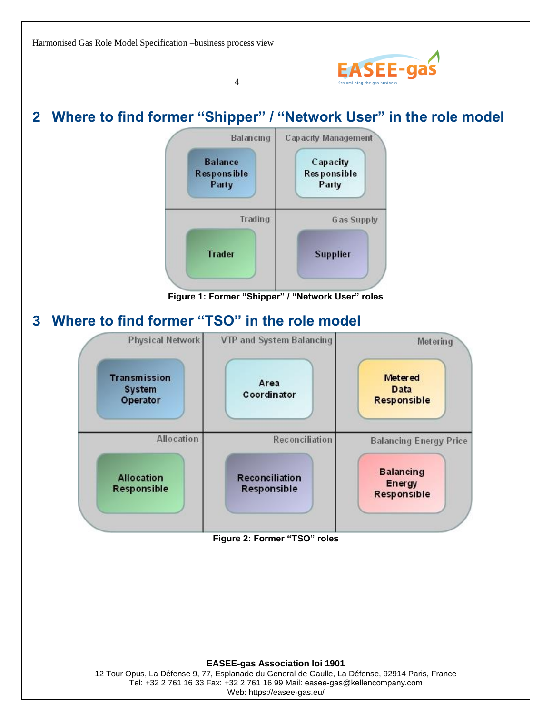

# <span id="page-3-0"></span>**2 Where to find former "Shipper" / "Network User" in the role model**

4



**Figure 1: Former "Shipper" / "Network User" roles**

### <span id="page-3-2"></span><span id="page-3-1"></span>**3 Where to find former "TSO" in the role model**



<span id="page-3-3"></span>**Figure 2: Former "TSO" roles**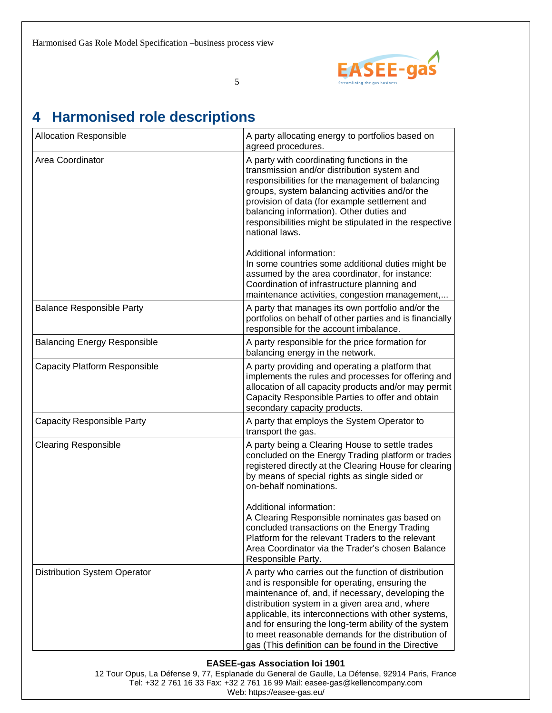

# <span id="page-4-0"></span>**4 Harmonised role descriptions**

| Allocation Responsible               | A party allocating energy to portfolios based on<br>agreed procedures.                                                                                                                                                                                                                                                                                                                                                                    |
|--------------------------------------|-------------------------------------------------------------------------------------------------------------------------------------------------------------------------------------------------------------------------------------------------------------------------------------------------------------------------------------------------------------------------------------------------------------------------------------------|
| Area Coordinator                     | A party with coordinating functions in the<br>transmission and/or distribution system and<br>responsibilities for the management of balancing<br>groups, system balancing activities and/or the<br>provision of data (for example settlement and<br>balancing information). Other duties and<br>responsibilities might be stipulated in the respective<br>national laws.                                                                  |
|                                      | Additional information:<br>In some countries some additional duties might be<br>assumed by the area coordinator, for instance:<br>Coordination of infrastructure planning and<br>maintenance activities, congestion management,                                                                                                                                                                                                           |
| <b>Balance Responsible Party</b>     | A party that manages its own portfolio and/or the<br>portfolios on behalf of other parties and is financially<br>responsible for the account imbalance.                                                                                                                                                                                                                                                                                   |
| <b>Balancing Energy Responsible</b>  | A party responsible for the price formation for<br>balancing energy in the network.                                                                                                                                                                                                                                                                                                                                                       |
| <b>Capacity Platform Responsible</b> | A party providing and operating a platform that<br>implements the rules and processes for offering and<br>allocation of all capacity products and/or may permit<br>Capacity Responsible Parties to offer and obtain<br>secondary capacity products.                                                                                                                                                                                       |
| <b>Capacity Responsible Party</b>    | A party that employs the System Operator to<br>transport the gas.                                                                                                                                                                                                                                                                                                                                                                         |
| <b>Clearing Responsible</b>          | A party being a Clearing House to settle trades<br>concluded on the Energy Trading platform or trades<br>registered directly at the Clearing House for clearing<br>by means of special rights as single sided or<br>on-behalf nominations.                                                                                                                                                                                                |
|                                      | Additional information:<br>A Clearing Responsible nominates gas based on<br>concluded transactions on the Energy Trading<br>Platform for the relevant Traders to the relevant<br>Area Coordinator via the Trader's chosen Balance<br>Responsible Party.                                                                                                                                                                                   |
| Distribution System Operator         | A party who carries out the function of distribution<br>and is responsible for operating, ensuring the<br>maintenance of, and, if necessary, developing the<br>distribution system in a given area and, where<br>applicable, its interconnections with other systems,<br>and for ensuring the long-term ability of the system<br>to meet reasonable demands for the distribution of<br>gas (This definition can be found in the Directive |

#### **EASEE-gas Association loi 1901**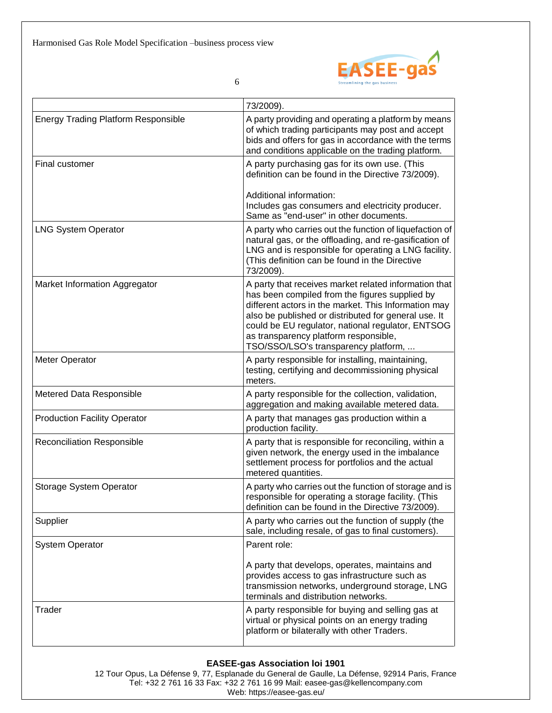

|                                            | 73/2009).                                                                                                                                                                                                                                                                                                                                                     |
|--------------------------------------------|---------------------------------------------------------------------------------------------------------------------------------------------------------------------------------------------------------------------------------------------------------------------------------------------------------------------------------------------------------------|
| <b>Energy Trading Platform Responsible</b> | A party providing and operating a platform by means<br>of which trading participants may post and accept<br>bids and offers for gas in accordance with the terms<br>and conditions applicable on the trading platform.                                                                                                                                        |
| Final customer                             | A party purchasing gas for its own use. (This<br>definition can be found in the Directive 73/2009).                                                                                                                                                                                                                                                           |
|                                            | Additional information:<br>Includes gas consumers and electricity producer.<br>Same as "end-user" in other documents.                                                                                                                                                                                                                                         |
| <b>LNG System Operator</b>                 | A party who carries out the function of liquefaction of<br>natural gas, or the offloading, and re-gasification of<br>LNG and is responsible for operating a LNG facility.<br>(This definition can be found in the Directive<br>73/2009).                                                                                                                      |
| Market Information Aggregator              | A party that receives market related information that<br>has been compiled from the figures supplied by<br>different actors in the market. This Information may<br>also be published or distributed for general use. It<br>could be EU regulator, national regulator, ENTSOG<br>as transparency platform responsible,<br>TSO/SSO/LSO's transparency platform, |
| Meter Operator                             | A party responsible for installing, maintaining,<br>testing, certifying and decommissioning physical<br>meters.                                                                                                                                                                                                                                               |
| Metered Data Responsible                   | A party responsible for the collection, validation,<br>aggregation and making available metered data.                                                                                                                                                                                                                                                         |
| <b>Production Facility Operator</b>        | A party that manages gas production within a<br>production facility.                                                                                                                                                                                                                                                                                          |
| <b>Reconciliation Responsible</b>          | A party that is responsible for reconciling, within a<br>given network, the energy used in the imbalance<br>settlement process for portfolios and the actual<br>metered quantities.                                                                                                                                                                           |
| Storage System Operator                    | A party who carries out the function of storage and is<br>responsible for operating a storage facility. (This<br>definition can be found in the Directive 73/2009).                                                                                                                                                                                           |
| Supplier                                   | A party who carries out the function of supply (the<br>sale, including resale, of gas to final customers).                                                                                                                                                                                                                                                    |
| <b>System Operator</b>                     | Parent role:                                                                                                                                                                                                                                                                                                                                                  |
|                                            | A party that develops, operates, maintains and<br>provides access to gas infrastructure such as<br>transmission networks, underground storage, LNG<br>terminals and distribution networks.                                                                                                                                                                    |
| Trader                                     | A party responsible for buying and selling gas at<br>virtual or physical points on an energy trading<br>platform or bilaterally with other Traders.                                                                                                                                                                                                           |

#### **EASEE-gas Association loi 1901**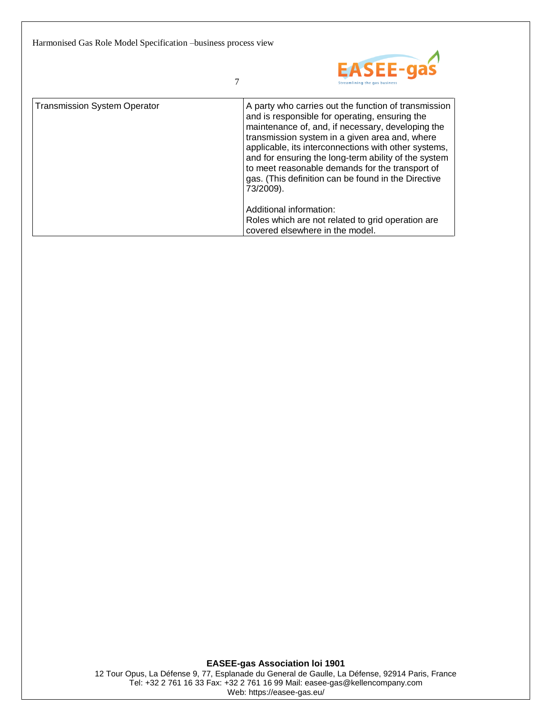

7

| <b>Transmission System Operator</b> | A party who carries out the function of transmission<br>and is responsible for operating, ensuring the<br>maintenance of, and, if necessary, developing the<br>transmission system in a given area and, where<br>applicable, its interconnections with other systems,<br>and for ensuring the long-term ability of the system<br>to meet reasonable demands for the transport of<br>gas. (This definition can be found in the Directive<br>73/2009). |
|-------------------------------------|------------------------------------------------------------------------------------------------------------------------------------------------------------------------------------------------------------------------------------------------------------------------------------------------------------------------------------------------------------------------------------------------------------------------------------------------------|
|                                     | Additional information:<br>Roles which are not related to grid operation are<br>covered elsewhere in the model.                                                                                                                                                                                                                                                                                                                                      |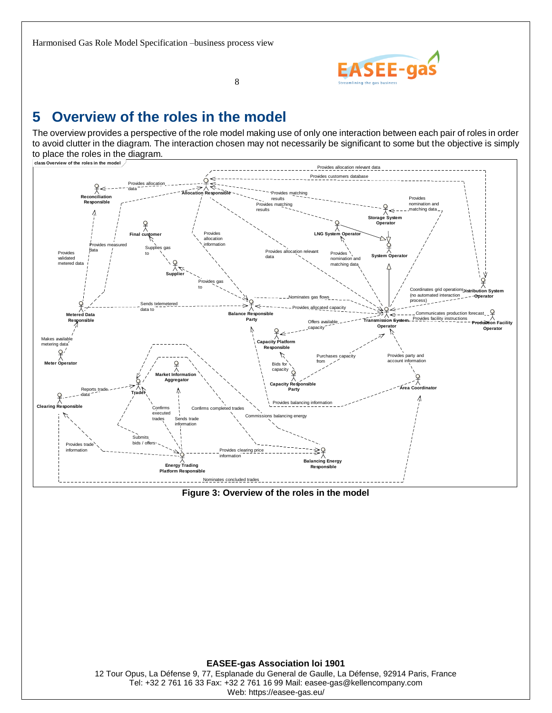

### <span id="page-7-0"></span>**5 Overview of the roles in the model**

The overview provides a perspective of the role model making use of only one interaction between each pair of roles in order to avoid clutter in the diagram. The interaction chosen may not necessarily be significant to some but the objective is simply to place the roles in the diagram.



<span id="page-7-1"></span>

**EASEE-gas Association loi 1901** 12 Tour Opus, La Défense 9, 77, Esplanade du General de Gaulle, La Défense, 92914 Paris, France Tel: +32 2 761 16 33 Fax: +32 2 761 16 99 Mail: easee-gas@kellencompany.com Web: https://easee-gas.eu/

8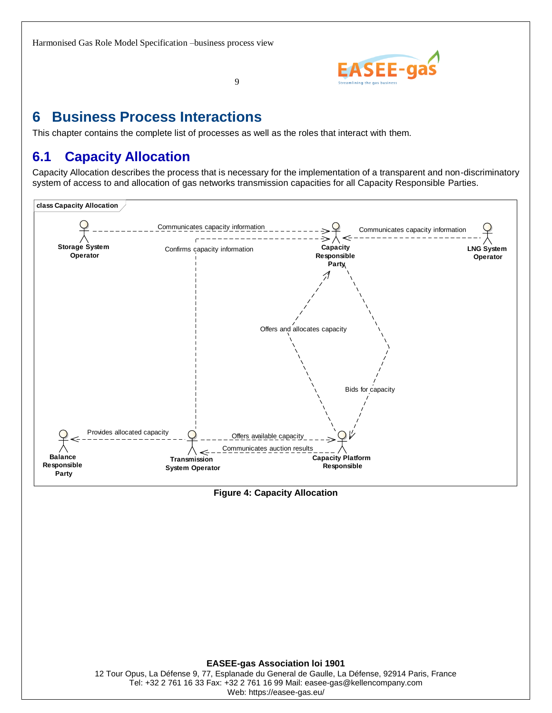

### <span id="page-8-0"></span>**6 Business Process Interactions**

<span id="page-8-1"></span>This chapter contains the complete list of processes as well as the roles that interact with them.

9

### **6.1 Capacity Allocation**

Capacity Allocation describes the process that is necessary for the implementation of a transparent and non-discriminatory system of access to and allocation of gas networks transmission capacities for all Capacity Responsible Parties.



#### <span id="page-8-2"></span>**Figure 4: Capacity Allocation**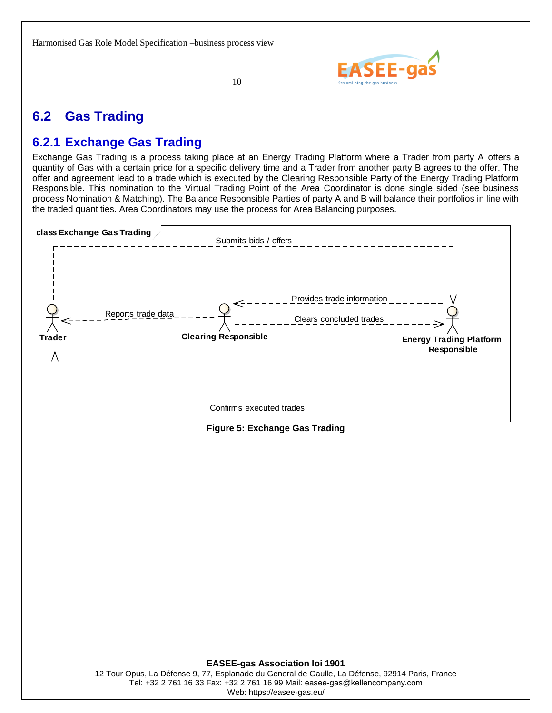

10

### <span id="page-9-0"></span>**6.2 Gas Trading**

### <span id="page-9-1"></span>**6.2.1 Exchange Gas Trading**

Exchange Gas Trading is a process taking place at an Energy Trading Platform where a Trader from party A offers a quantity of Gas with a certain price for a specific delivery time and a Trader from another party B agrees to the offer. The offer and agreement lead to a trade which is executed by the Clearing Responsible Party of the Energy Trading Platform Responsible. This nomination to the Virtual Trading Point of the Area Coordinator is done single sided (see business process Nomination & Matching). The Balance Responsible Parties of party A and B will balance their portfolios in line with the traded quantities. Area Coordinators may use the process for Area Balancing purposes.



<span id="page-9-2"></span>**Figure 5: Exchange Gas Trading**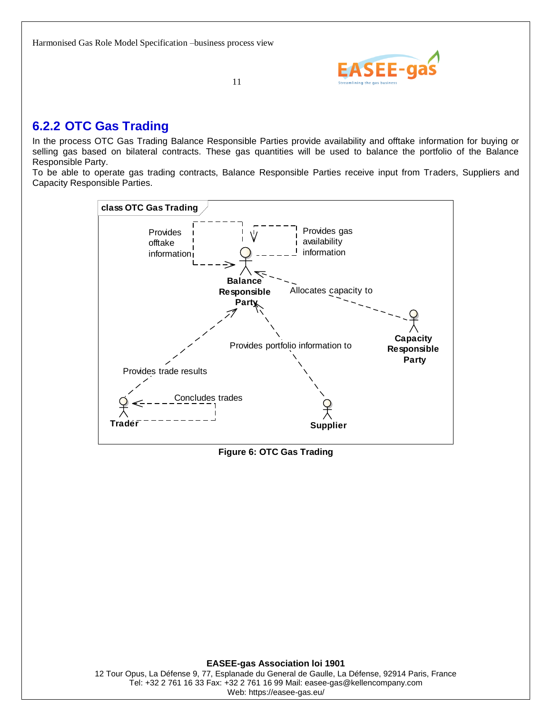

### <span id="page-10-0"></span>**6.2.2 OTC Gas Trading**

In the process OTC Gas Trading Balance Responsible Parties provide availability and offtake information for buying or selling gas based on bilateral contracts. These gas quantities will be used to balance the portfolio of the Balance Responsible Party.

To be able to operate gas trading contracts, Balance Responsible Parties receive input from Traders, Suppliers and Capacity Responsible Parties.



<span id="page-10-1"></span>**Figure 6: OTC Gas Trading**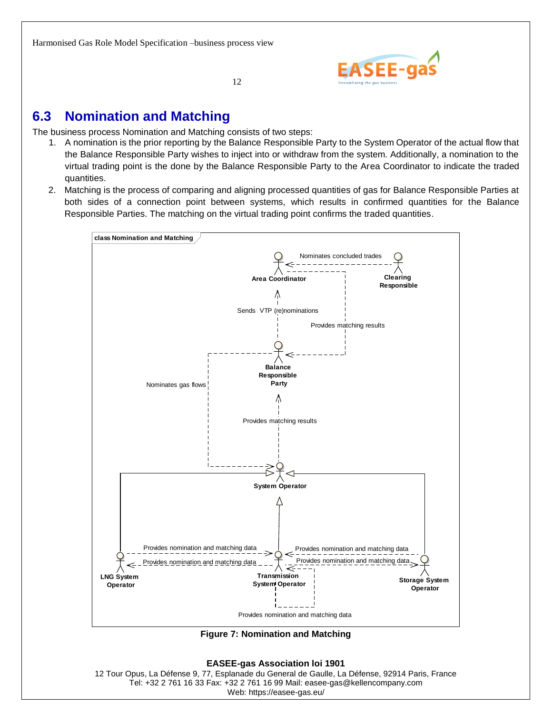

### <span id="page-11-0"></span>**6.3 Nomination and Matching**

The business process Nomination and Matching consists of two steps:

- 1. A nomination is the prior reporting by the Balance Responsible Party to the System Operator of the actual flow that the Balance Responsible Party wishes to inject into or withdraw from the system. Additionally, a nomination to the virtual trading point is the done by the Balance Responsible Party to the Area Coordinator to indicate the traded quantities.
- 2. Matching is the process of comparing and aligning processed quantities of gas for Balance Responsible Parties at both sides of a connection point between systems, which results in confirmed quantities for the Balance Responsible Parties. The matching on the virtual trading point confirms the traded quantities.



<span id="page-11-1"></span>**Figure 7: Nomination and Matching**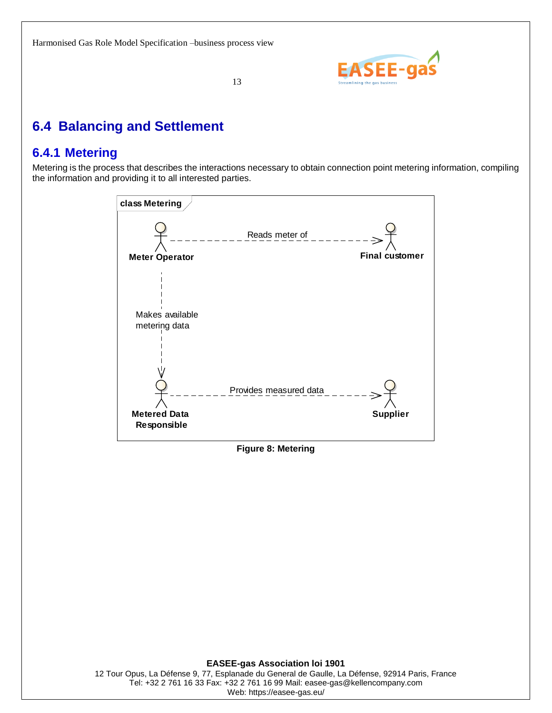

## <span id="page-12-0"></span>**6.4 Balancing and Settlement**

### <span id="page-12-1"></span>**6.4.1 Metering**

Metering is the process that describes the interactions necessary to obtain connection point metering information, compiling the information and providing it to all interested parties.



#### <span id="page-12-2"></span>**Figure 8: Metering**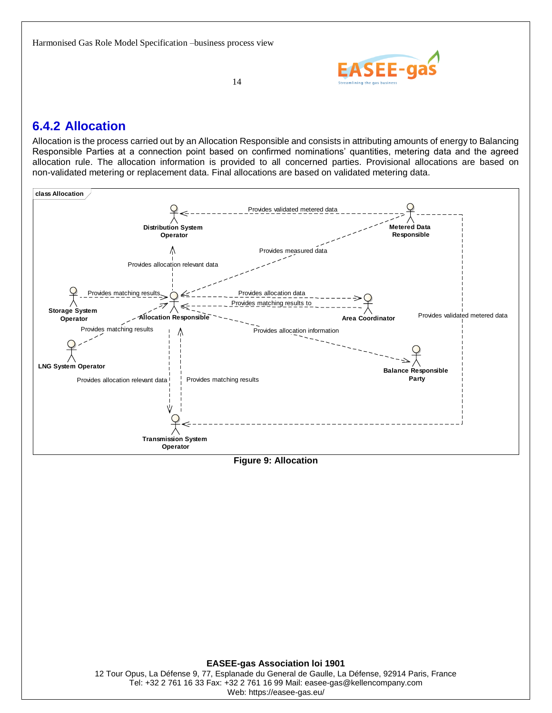

14

### <span id="page-13-0"></span>**6.4.2 Allocation**

Allocation is the process carried out by an Allocation Responsible and consists in attributing amounts of energy to Balancing Responsible Parties at a connection point based on confirmed nominations' quantities, metering data and the agreed allocation rule. The allocation information is provided to all concerned parties. Provisional allocations are based on non-validated metering or replacement data. Final allocations are based on validated metering data.



<span id="page-13-1"></span>**Figure 9: Allocation**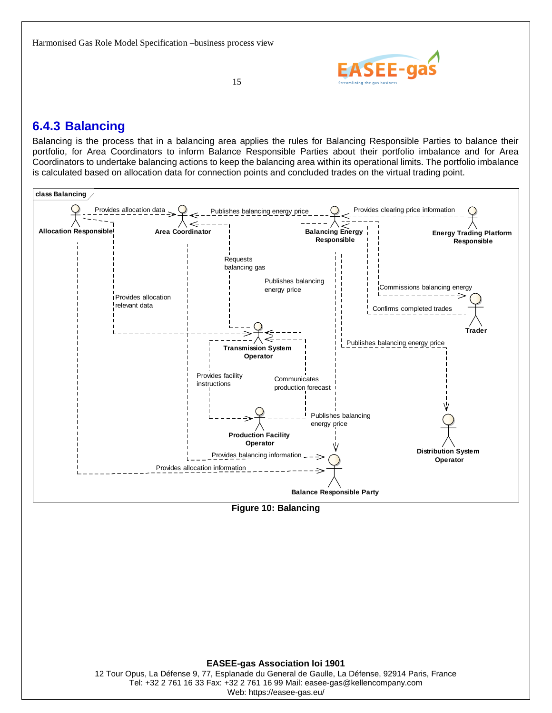

### <span id="page-14-0"></span>**6.4.3 Balancing**

Balancing is the process that in a balancing area applies the rules for Balancing Responsible Parties to balance their portfolio, for Area Coordinators to inform Balance Responsible Parties about their portfolio imbalance and for Area Coordinators to undertake balancing actions to keep the balancing area within its operational limits. The portfolio imbalance is calculated based on allocation data for connection points and concluded trades on the virtual trading point.



<span id="page-14-1"></span>**Figure 10: Balancing**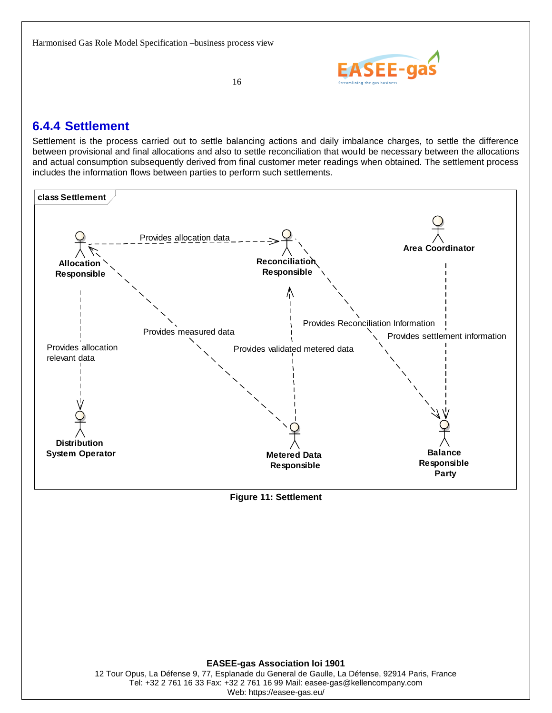

16

### <span id="page-15-0"></span>**6.4.4 Settlement**

Settlement is the process carried out to settle balancing actions and daily imbalance charges, to settle the difference between provisional and final allocations and also to settle reconciliation that would be necessary between the allocations and actual consumption subsequently derived from final customer meter readings when obtained. The settlement process includes the information flows between parties to perform such settlements.



#### <span id="page-15-1"></span>**Figure 11: Settlement**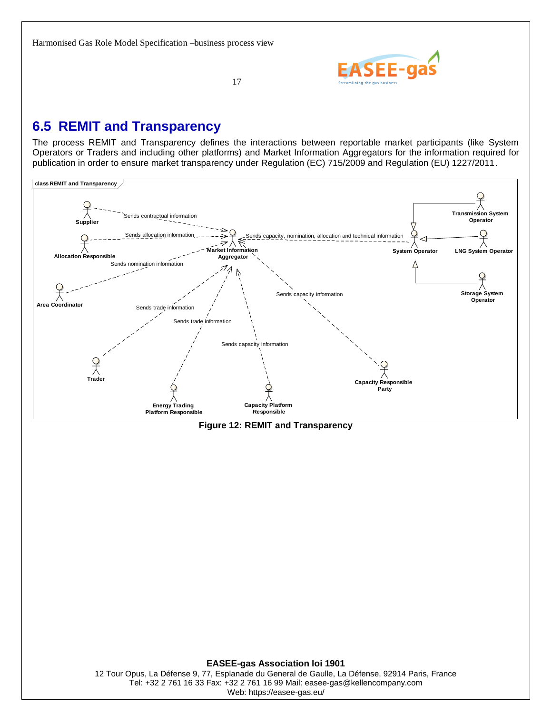

17

### <span id="page-16-0"></span>**6.5 REMIT and Transparency**

The process REMIT and Transparency defines the interactions between reportable market participants (like System Operators or Traders and including other platforms) and Market Information Aggregators for the information required for publication in order to ensure market transparency under Regulation (EC) 715/2009 and Regulation (EU) 1227/2011.



<span id="page-16-1"></span>**Figure 12: REMIT and Transparency**